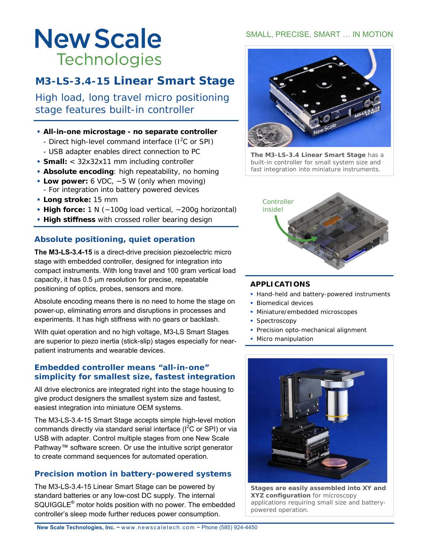# **New Scale Technologies**

# **M3-LS-3.4-15 Linear Smart Stage**

High load, long travel micro positioning stage features built-in controller

#### **All-in-one microstage - no separate controller**

- Direct high-level command interface  $(I^2C$  or SPI)
- USB adapter enables direct connection to PC
- **Small:** < 32x32x11 mm *including controller*
- **Absolute encoding**: high repeatability, no homing
- **Low power:** 6 VDC, ~5 W (only when moving)
- For integration into battery powered devices **Long stroke:** 15 mm
- 
- **High force:** 1 N (~100g load vertical, ~200g horizontal)
- **High stiffness** with crossed roller bearing design

## **Absolute positioning, quiet operation**

**The M3-LS-3.4-15** is a direct-drive precision piezoelectric micro stage with embedded controller, designed for integration into compact instruments. With long travel and 100 gram vertical load capacity, it has  $0.5 \mu m$  resolution for precise, repeatable positioning of optics, probes, sensors and more.

Absolute encoding means there is no need to home the stage on power-up, eliminating errors and disruptions in processes and experiments. It has high stiffness with no gears or backlash.

With quiet operation and no high voltage, M3-LS Smart Stages are superior to piezo inertia (stick-slip) stages especially for nearpatient instruments and wearable devices.

#### **Embedded controller means "all-in-one" simplicity for smallest size, fastest integration**

All drive electronics are integrated right into the stage housing to give product designers the smallest system size and fastest, easiest integration into miniature OEM systems.

The M3-LS-3.4-15 Smart Stage accepts simple high-level motion commands directly via standard serial interface (I $^2$ C or SPI) or via USB with adapter. Control multiple stages from one New Scale Pathway™ software screen. Or use the intuitive script generator to create command sequences for automated operation.

## **Precision motion in battery-powered systems**

The M3-LS-3.4-15 Linear Smart Stage can be powered by standard batteries or any low-cost DC supply. The internal SQUIGGLE $^{\circ}$  motor holds position with no power. The embedded controller's sleep mode further reduces power consumption.

#### SMALL, PRECISE, SMART … IN MOTION



**The M3-LS-3.4 Linear Smart Stage** has a built-in controller for small system size and fast integration into miniature instruments.



#### **APPLICATIONS**

- **Hand-held and battery-powered instruments**
- **Biomedical devices**
- **Miniature/embedded microscopes**
- **Spectroscopy**
- Precision opto-mechanical alignment
- **Micro manipulation**



**Stages are easily assembled into XY and XYZ configuration** for microscopy applications requiring small size and batterypowered operation.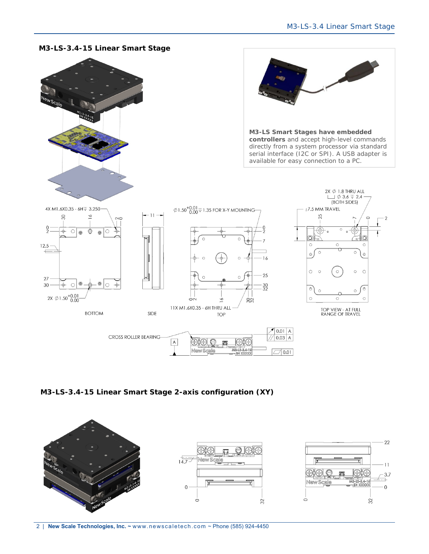

**M3-LS-3.4-15 Linear Smart Stage 2-axis configuration (XY)**